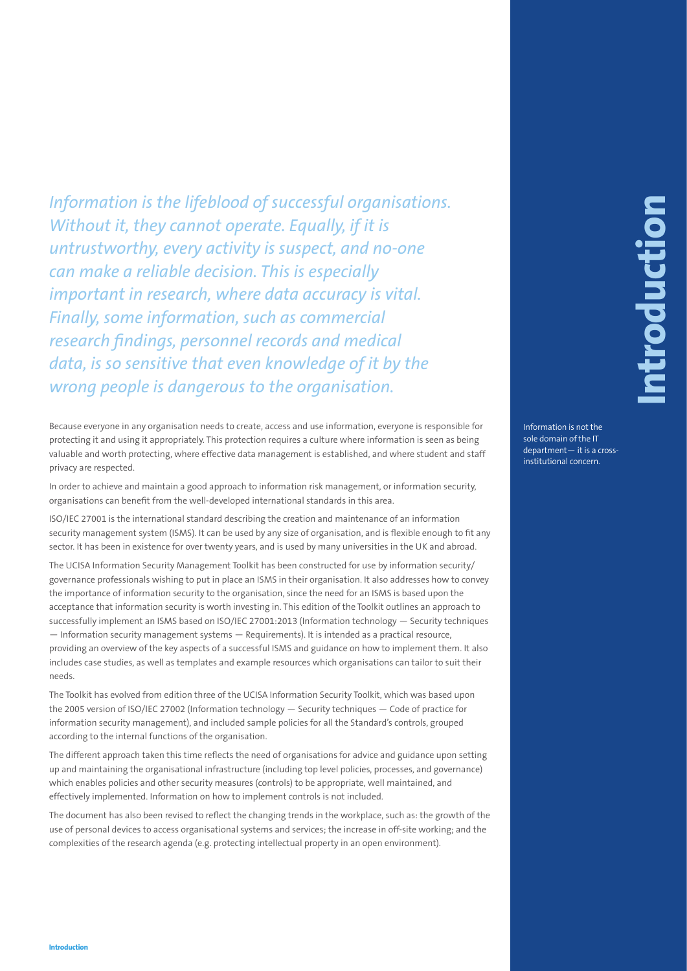Information is the lightlenoid of successive longitude in the lightlenoid of successive properties.<br> **Internal material controller and the state of the state of the state of the state of the state of the state of the cont** *Information is the lifeblood of successful organisations. Without it, they cannot operate. Equally, if it is untrustworthy, every activity is suspect, and no-one can make a reliable decision. This is especially important in research, where data accuracy is vital. Finally, some information, such as commercial research findings, personnel records and medical data, is so sensitive that even knowledge of it by the wrong people is dangerous to the organisation.*

Because everyone in any organisation needs to create, access and use information, everyone is responsible for protecting it and using it appropriately. This protection requires a culture where information is seen as being valuable and worth protecting, where effective data management is established, and where student and staff privacy are respected.

In order to achieve and maintain a good approach to information risk management, or information security, organisations can benefit from the well-developed international standards in this area.

ISO/IEC 27001 is the international standard describing the creation and maintenance of an information security management system (ISMS). It can be used by any size of organisation, and is flexible enough to fit any sector. It has been in existence for over twenty years, and is used by many universities in the UK and abroad.

The UCISA Information Security Management Toolkit has been constructed for use by information security/ governance professionals wishing to put in place an ISMS in their organisation. It also addresses how to convey the importance of information security to the organisation, since the need for an ISMS is based upon the acceptance that information security is worth investing in. This edition of the Toolkit outlines an approach to successfully implement an ISMS based on ISO/IEC 27001:2013 (Information technology — Security techniques — Information security management systems — Requirements). It is intended as a practical resource, providing an overview of the key aspects of a successful ISMS and guidance on how to implement them. It also includes case studies, as well as templates and example resources which organisations can tailor to suit their needs.

The Toolkit has evolved from edition three of the UCISA Information Security Toolkit, which was based upon the 2005 version of ISO/IEC 27002 (Information technology — Security techniques — Code of practice for information security management), and included sample policies for all the Standard's controls, grouped according to the internal functions of the organisation.

The different approach taken this time reflects the need of organisations for advice and guidance upon setting up and maintaining the organisational infrastructure (including top level policies, processes, and governance) which enables policies and other security measures (controls) to be appropriate, well maintained, and effectively implemented. Information on how to implement controls is not included.

The document has also been revised to reflect the changing trends in the workplace, such as: the growth of the use of personal devices to access organisational systems and services; the increase in off-site working; and the complexities of the research agenda (e.g. protecting intellectual property in an open environment).

Information is not the sole domain of the IT department— it is a crossinstitutional concern.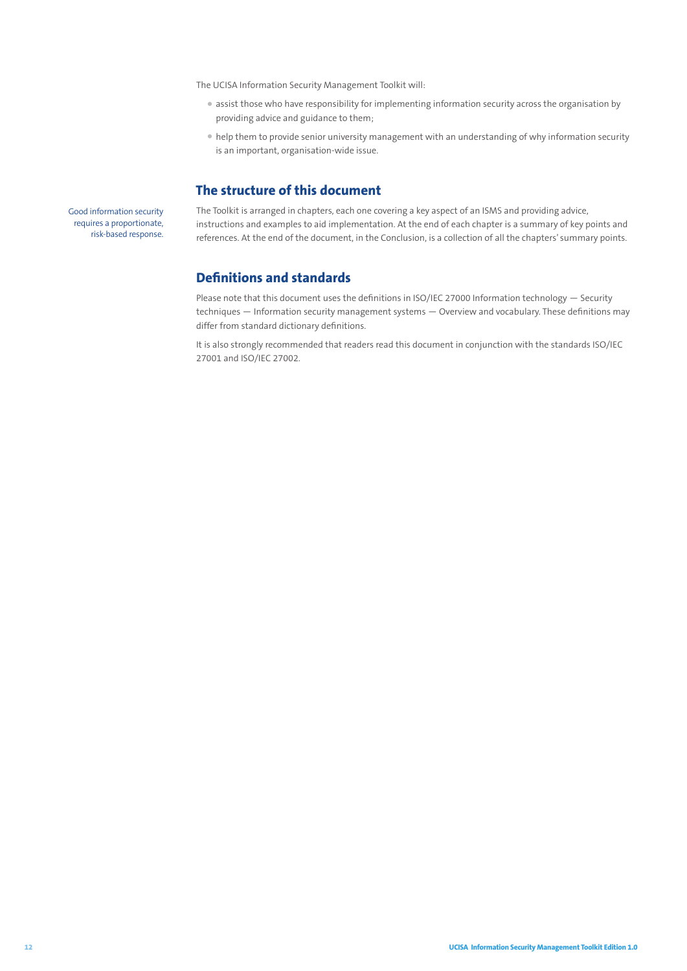The UCISA Information Security Management Toolkit will:

- assist those who have responsibility for implementing information security across the organisation by providing advice and guidance to them;
- help them to provide senior university management with an understanding of why information security is an important, organisation-wide issue.

### **The structure of this document**

Good information security requires a proportionate, risk-based response. The Toolkit is arranged in chapters, each one covering a key aspect of an ISMS and providing advice, instructions and examples to aid implementation. At the end of each chapter is a summary of key points and references. At the end of the document, in the Conclusion, is a collection of all the chapters' summary points.

## **Definitions and standards**

Please note that this document uses the definitions in ISO/IEC 27000 Information technology — Security techniques — Information security management systems — Overview and vocabulary. These definitions may differ from standard dictionary definitions.

It is also strongly recommended that readers read this document in conjunction with the standards ISO/IEC 27001 and ISO/IEC 27002.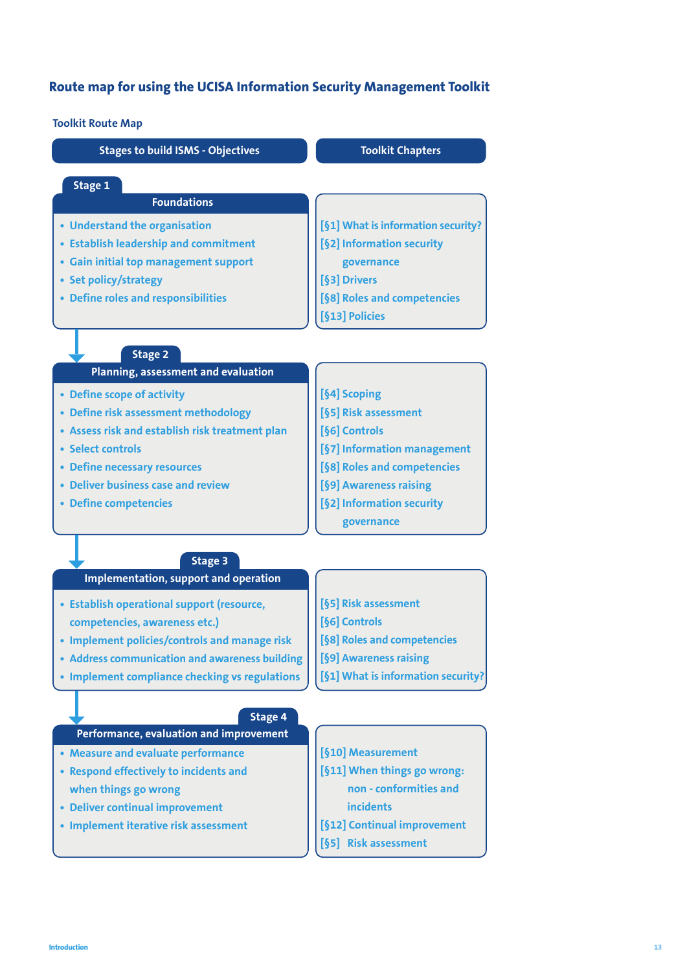# **Route map for using the UCISA Information Security Management Toolkit**

**Toolkit Route Map**

| IVVINIL INVULE IVIAP                                    |                                    |
|---------------------------------------------------------|------------------------------------|
| <b>Stages to build ISMS - Objectives</b>                | <b>Toolkit Chapters</b>            |
| Stage 1                                                 |                                    |
| <b>Foundations</b>                                      |                                    |
| • Understand the organisation                           | [§1] What is information security? |
| • Establish leadership and commitment                   | [§2] Information security          |
| • Gain initial top management support                   | governance                         |
| • Set policy/strategy                                   | [§3] Drivers                       |
| • Define roles and responsibilities                     | [§8] Roles and competencies        |
|                                                         | [§13] Policies                     |
| <b>Stage 2</b>                                          |                                    |
| Planning, assessment and evaluation                     |                                    |
| • Define scope of activity                              | [§4] Scoping                       |
| • Define risk assessment methodology                    | [§5] Risk assessment               |
| • Assess risk and establish risk treatment plan         | [§6] Controls                      |
| • Select controls                                       | [§7] Information management        |
| • Define necessary resources                            | [§8] Roles and competencies        |
| • Deliver business case and review                      | [§9] Awareness raising             |
| • Define competencies                                   | [§2] Information security          |
|                                                         | governance                         |
|                                                         |                                    |
| <b>Stage 3</b><br>Implementation, support and operation |                                    |
| • Establish operational support (resource,              | [§5] Risk assessment               |
| competencies, awareness etc.)                           | [§6] Controls                      |
| • Implement policies/controls and manage risk           | [§8] Roles and competencies        |
| • Address communication and awareness building          | [§9] Awareness raising             |
| • Implement compliance checking vs regulations          | [§1] What is information security? |
|                                                         |                                    |
| <b>Stage 4</b>                                          |                                    |
| Performance, evaluation and improvement                 |                                    |
| • Measure and evaluate performance                      | [§10] Measurement                  |
| • Respond effectively to incidents and                  | [§11] When things go wrong:        |
| when things go wrong                                    | non - conformities and             |
| • Deliver continual improvement                         | <b>incidents</b>                   |
| • Implement iterative risk assessment                   | [§12] Continual improvement        |
|                                                         | [§5] Risk assessment               |